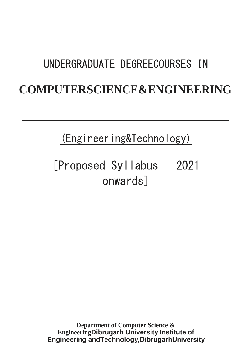# UNDERGRADUATE DEGREECOURSES IN

# **COMPUTERSCIENCE&ENGINEERING**

(Engineering&Technology)

# [Proposed Syllabus – 2021 onwards]

**Department of Computer Science & EngineeringDibrugarh University Institute of Engineering andTechnology,DibrugarhUniversity**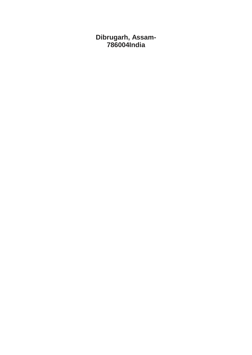**Dibrugarh, Assam-786004India**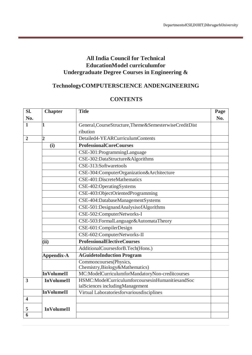## **All India Council for Technical EducationModel curriculumfor Undergraduate Degree Courses in Engineering &**

# **TechnologyCOMPUTERSCIENCE ANDENGINEERING**

## **CONTENTS**

| Sl.                     | <b>Chapter</b>    | <b>Title</b>                                           | Page |
|-------------------------|-------------------|--------------------------------------------------------|------|
| No.                     |                   |                                                        | No.  |
| $\mathbf{1}$            | 1                 | General, CourseStructure, Theme&SemesterwiseCreditDist |      |
|                         |                   | ribution                                               |      |
| $\overline{2}$          | $\overline{2}$    | Detailed4-YEARCurriculumContents                       |      |
|                         | (i)               | <b>ProfessionalCoreCourses</b>                         |      |
|                         |                   | CSE-301:ProgrammingLanguage                            |      |
|                         |                   | CSE-302:DataStructure&Algorithms                       |      |
|                         |                   | CSE-313:Softwaretools                                  |      |
|                         |                   | CSE-304:ComputerOrganization&Architecture              |      |
|                         |                   | CSE-401:DiscreteMathematics                            |      |
|                         |                   | CSE-402:OperatingSystems                               |      |
|                         |                   | CSE-403:ObjectOrientedProgramming                      |      |
|                         |                   | CSE-404:DatabaseManagementSystems                      |      |
|                         |                   | CSE-501:DesignandAnalysisofAlgorithms                  |      |
|                         |                   | CSE-502:ComputerNetworks-I                             |      |
|                         |                   | CSE-503:FormalLanguage&AutomataTheory                  |      |
|                         |                   | CSE-601:CompilerDesign                                 |      |
|                         |                   | CSE-602:ComputerNetworks-II                            |      |
|                         | (ii)              | <b>ProfessionalElectiveCourses</b>                     |      |
|                         |                   | AdditionalCoursesforB.Tech(Hons.)                      |      |
|                         | <b>Appendix-A</b> | <b>AGuidetoInduction Program</b>                       |      |
|                         |                   | Commoncourses(Physics,                                 |      |
|                         |                   | Chemistry, Biology&Mathematics)                        |      |
|                         | <b>InVolumeII</b> | MC:ModelCurriculumforMandatoryNon-creditcourses        |      |
| $\overline{\mathbf{3}}$ | <b>InVolumeII</b> | HSMC:ModelCurriculumforcoursesinHumanitiesandSoc       |      |
|                         | <b>InVolumeII</b> | ialSciences includingManagement                        |      |
| $\overline{\mathbf{4}}$ |                   | Virtual Laboratoriesforvariousdisciplines              |      |
|                         |                   |                                                        |      |
| 5                       | <b>InVolumeII</b> |                                                        |      |
| 6                       |                   |                                                        |      |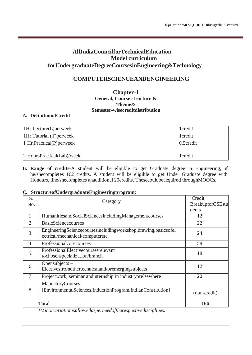## **AllIndiaCouncilforTechnicalEducation Model curriculum forUndergraduateDegreeCoursesinEngineering&Technology**

## **COMPUTERSCIENCEANDENGINEERING**

#### **Chapter-1 General, Course structure & Theme& Semester-wisecreditdistribution**

#### **A. DefinitionofCredit**:

| $1Hr.$ Lecture(L) perweek  | 1 credit  |
|----------------------------|-----------|
| [1Hr.Tutorial(T)perweek]   | 1 credit  |
| 1 Hr. Practical(P) perweek | 0.5credit |
| 2 HoursPractical(Lab)/week | 1credit   |

**B. Range of credits-**A student will be eligible to get Graduate degree in Engineering, if he/shecompletes 162 credits. A student will be eligible to get Under Graduate degree with Honours, ifhe/shecompletes anadditional 20credits. Thesecouldbeacquired throughMOOCs.

#### **C. StructureofUndergraduateEngineeringprogram:**

| S.             |                                                                                                   | Credit                  |
|----------------|---------------------------------------------------------------------------------------------------|-------------------------|
| No.            | Category                                                                                          | <b>BreakupforCSEstu</b> |
|                |                                                                                                   | dents                   |
| 1              | HumanitiesandSocialSciencesincludingManagementcourses                                             | 12                      |
| $\overline{2}$ | <b>BasicSciencecourses</b>                                                                        | 22                      |
| 3              | EngineeringSciencecoursesincludingworkshop,drawing,basicsofel<br>ectrical/mechanical/computeretc. | 24                      |
| 4              | Professionalcorecourses                                                                           | 58                      |
| 5              | ProfessionalElectivecoursesrelevant<br>tochosenspecialization/branch                              | 18                      |
| 6              | Opensubjects -<br>Electivesfromothertechnicaland/oremergingsubjects                               | 12                      |
| 7              | Projectwork, seminar and internship in industryorelsewhere                                        | 20                      |
| 8              | MandatoryCourses<br>[EnvironmentalSciences,InductionProgram,IndianConstitution]                   | (non-credit)            |
|                | Total                                                                                             | 166                     |

*\*Minorvariationisallowedasperneedoftherespectivedisciplines.*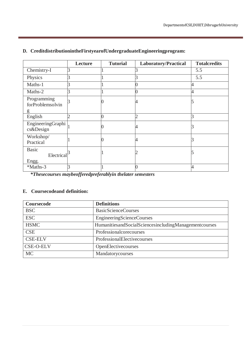|                                     | Lecture | <b>Tutorial</b> | <b>Laboratory/Practical</b> | <b>Totalcredits</b> |
|-------------------------------------|---------|-----------------|-----------------------------|---------------------|
| Chemistry-I                         |         |                 |                             | 5.5                 |
| Physics                             |         |                 |                             | 5.5                 |
| Maths-1                             |         |                 |                             | Λ                   |
| Maths-2                             |         |                 |                             |                     |
| Programming<br>forProblemsolvin     |         |                 |                             |                     |
| g                                   |         |                 |                             |                     |
| English                             |         |                 |                             | 3                   |
| EngineeringGraphi<br>cs&Design      |         |                 | 4                           |                     |
| Workshop/<br>Practical              |         |                 |                             |                     |
| <b>Basic</b><br>Electrical<br>Engg. |         |                 |                             |                     |
| *Maths-3                            |         |                 |                             | Δ                   |

## **D. CreditdistributionintheFirstyearofUndergraduateEngineeringprogram:**

*\*Thesecourses maybeofferedpreferablyin thelater semesters*

### **E. Coursecodeand definition:**

| Coursecode       | <b>Definitions</b>                                    |
|------------------|-------------------------------------------------------|
| <b>BSC</b>       | <b>BasicScienceCourses</b>                            |
| <b>ESC</b>       | EngineeringScienceCourses                             |
| <b>HSMC</b>      | HumanitiesandSocialSciencesincludingManagementcourses |
| <b>CSE</b>       | Professionalcorecourses                               |
| <b>CSE-ELV</b>   | ProfessionalElectivecourses                           |
| <b>CSE-O-ELV</b> | OpenElectivecourses                                   |
| <b>MC</b>        | Mandatorycourses                                      |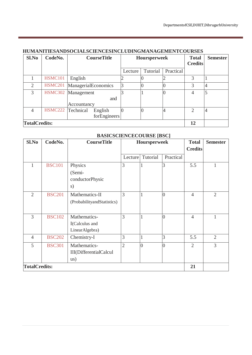| Sl.No          | CodeNo.              | <b>CourseTitle</b>  |         | Hoursperweek |           |                | <b>Semester</b><br><b>Credits</b> |
|----------------|----------------------|---------------------|---------|--------------|-----------|----------------|-----------------------------------|
|                |                      |                     | Lecture | Tutorial     | Practical |                |                                   |
|                | <b>HSMC101</b>       | English             |         |              |           | 3              |                                   |
| $\overline{2}$ | <b>HSMC201</b>       | ManagerialEconomics | 3       |              |           | 3              | $\overline{4}$                    |
| 3              |                      | HSMC302 Management  |         |              |           | 4              | $\overline{5}$                    |
|                |                      | and                 |         |              |           |                |                                   |
|                |                      | Accountancy         |         |              |           |                |                                   |
| 4              | HSMC222 Technical    | English             |         |              |           | $\mathfrak{D}$ | $\overline{4}$                    |
|                |                      | forEngineers        |         |              |           |                |                                   |
|                | <b>TotalCredits:</b> |                     |         |              |           |                |                                   |

#### **HUMANITIESANDSOCIALSCIENCESINCLUDINGMANAGEMENTCOURSES**

## **BASICSCIENCECOURSE [BSC]**

| Sl.No                | CodeNo.       | <b>CourseTitle</b>                                                  |                | Hoursperweek |                | <b>Total</b><br><b>Credits</b> | <b>Semester</b> |
|----------------------|---------------|---------------------------------------------------------------------|----------------|--------------|----------------|--------------------------------|-----------------|
|                      |               |                                                                     | Lecture        | Tutorial     | Practical      |                                |                 |
| 1                    | <b>BSC101</b> | Physics<br>(Semi-<br>conductorPhysic<br>s)                          | 3              |              | 3              | 5.5                            | $\mathbf{1}$    |
| $\overline{2}$       | <b>BSC201</b> | Mathematics-II<br>(ProbabilityandStatistics)                        | 3              |              | $\overline{0}$ | $\overline{4}$                 | $\overline{2}$  |
| $\overline{3}$       | <b>BSC102</b> | Mathematics-<br>I(Calculus and<br>LinearAlgebra)                    | 3              |              | $\overline{0}$ | $\overline{4}$                 | $\mathbf{1}$    |
| $\overline{4}$       | <b>BSC202</b> | Chemistry-I                                                         | 3              |              | 3              | 5.5                            | $\overline{2}$  |
| 5                    | <b>BSC301</b> | Mathematics-<br><b>III</b> (DifferentialCalcul<br>$\overline{u}$ s) | $\overline{2}$ | $\theta$     | $\theta$       | $\overline{2}$                 | $\overline{3}$  |
| <b>TotalCredits:</b> |               |                                                                     |                |              |                | 21                             |                 |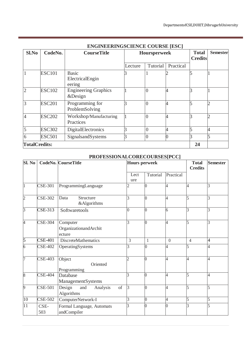|                      |               | ENGINEERINGSCIENCE COURSE [ESC]           |         |                     |                                |                 |   |
|----------------------|---------------|-------------------------------------------|---------|---------------------|--------------------------------|-----------------|---|
| Sl.No                | CodeNo.       | <b>CourseTitle</b>                        |         | <b>Hoursperweek</b> | <b>Total</b><br><b>Credits</b> | <b>Semester</b> |   |
|                      |               |                                           | Lecture | Tutorial            | Practical                      |                 |   |
|                      | <b>ESC101</b> | <b>Basic</b><br>ElectricalEngin<br>eering |         |                     |                                |                 |   |
| $\mathcal{D}$        | <b>ESC102</b> | <b>Engineering Graphics</b><br>&Design    |         | 0                   |                                |                 |   |
| 3                    | <b>ESC201</b> | Programming for<br>ProblemSolving         |         | 0                   |                                |                 |   |
|                      | <b>ESC202</b> | Workshop/Manufacturing<br>Practices       |         | $\overline{0}$      |                                |                 |   |
|                      | <b>ESC302</b> | DigitalElectronics                        |         | $\overline{0}$      |                                |                 |   |
| 6                    | <b>ESC501</b> | SignalsandSystems                         |         | 0                   |                                |                 | 5 |
| <b>TotalCredits:</b> |               |                                           |         |                     |                                | 24              |   |

## **ENGINEERINGSCIENCE COURSE [ESC]**

# **PROFESSIONALCORECOURSES[PCC]**

| Sl. No         |                | <b>CodeNo. CourseTitle</b>                    | <b>Hours perweek</b> |                | <b>Total</b><br><b>Credits</b> | <b>Semester</b> |                |
|----------------|----------------|-----------------------------------------------|----------------------|----------------|--------------------------------|-----------------|----------------|
|                |                |                                               | Lect<br>ure          | Tutorial       | Practical                      |                 |                |
| $\overline{1}$ | <b>CSE-301</b> | ProgrammingLanguage                           | $\overline{2}$       | 0              | 4                              | 4               | 3              |
| $\overline{2}$ | <b>CSE-302</b> | Structure<br>Data<br>&Algorithms              | 3                    |                | $\overline{4}$                 | 5               | 3              |
| $\overline{3}$ | <b>CSE-313</b> | Softwaretools                                 | $\overline{0}$       | $\overline{0}$ | 6                              | 3               | 3              |
| 4              | <b>CSE-304</b> | Computer<br>OrganizationandArchit<br>ecture   | 3                    | $\overline{0}$ | $\overline{4}$                 | 5               | 3              |
| 5              | <b>CSE-401</b> | DiscreteMathematics                           | 3                    | 1              | $\overline{0}$                 | $\overline{4}$  | $\overline{4}$ |
| $\overline{6}$ | <b>CSE-402</b> | OperatingSystems                              | 3                    | 0              | 4                              | 5               | 4              |
| 7              | <b>CSE-403</b> | Object<br>Oriented<br>Programming             | $\overline{2}$       |                | 4                              | 4               | 4              |
| $\overline{8}$ | <b>CSE-404</b> | Database<br>ManagementSystems                 | 3                    |                | 4                              | 5               | $\overline{4}$ |
| $\overline{9}$ | CSE-501        | of<br>Design<br>Analysis<br>and<br>Algorithms | $\overline{3}$       | $\Omega$       | $\overline{4}$                 | 5               | 5              |
| 10             | <b>CSE-502</b> | ComputerNetwork-I                             | 3                    | $\Omega$       | $\overline{4}$                 | 5               | 5              |
| 11             | CSE-<br>503    | Formal Language, Automats<br>andCompiler      | 3                    |                | $\overline{0}$                 | 3               | 5              |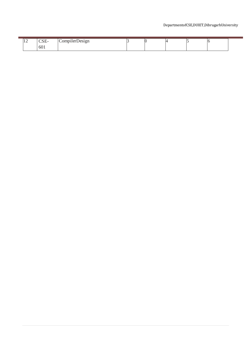### DepartmentofCSE,DUIET,DibrugarhUniversity

|  | $\sim$ $\sim$ $\sim$<br>COL. | $^{\bullet}$<br>$\alpha$ mnulor $\blacksquare$<br>ilerDesign |  |  |  |
|--|------------------------------|--------------------------------------------------------------|--|--|--|
|  | 601                          |                                                              |  |  |  |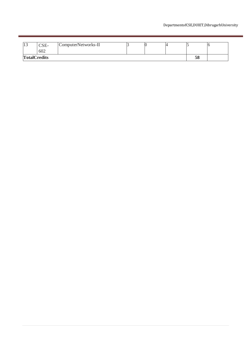| … | CSE-<br>602         | ComputerNetworks-II |  |  |  |  |  |
|---|---------------------|---------------------|--|--|--|--|--|
|   | <b>TotalCredits</b> |                     |  |  |  |  |  |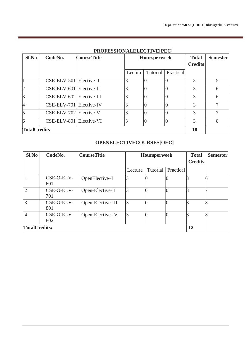| $Sl$ . No           | CodeNo.                  | <b>CourseTitle</b> | <b>Hoursperweek</b> |          |                  | <b>Total</b><br><b>Credits</b> | <b>Semester</b> |
|---------------------|--------------------------|--------------------|---------------------|----------|------------------|--------------------------------|-----------------|
|                     |                          |                    | Lecture             | Tutorial | Practical        |                                |                 |
|                     | CSE-ELV-501 Elective- I  |                    | 3                   |          | $\left( \right)$ | 3                              | 5               |
| $\overline{2}$      | CSE-ELV-601 Elective-II  |                    | 3                   |          | 0                | 3                              | 6               |
| $\overline{3}$      | CSE-ELV-602 Elective-III |                    | 3                   | $\Omega$ | $\theta$         | 3                              | 6               |
| $\overline{4}$      | CSE-ELV-701 Elective-IV  |                    | 3                   |          | $\theta$         | 3                              | 7               |
| $\overline{5}$      | CSE-ELV-702 Elective-V   |                    | 3                   |          | 0                | 3                              | $\tau$          |
| 6                   | CSE-ELV-801 Elective-VI  |                    | 3                   |          | 0                | 3                              | 8               |
| <b>TotalCredits</b> |                          |                    |                     |          |                  |                                |                 |

## **PROFESSIONALELECTIVE[PEC]**

## **OPENELECTIVECOURSES[OEC]**

| Sl.No                | CodeNo.           | <b>CourseTitle</b> | <b>Hoursperweek</b> |                | <b>Total</b><br><b>Credits</b> | <b>Semester</b> |   |
|----------------------|-------------------|--------------------|---------------------|----------------|--------------------------------|-----------------|---|
|                      |                   |                    | Lecture             | Tutorial       | Practical                      |                 |   |
|                      | CSE-O-ELV-<br>601 | OpenElective-I     | 3                   | $\theta$       |                                |                 |   |
| $\overline{2}$       | CSE-O-ELV-<br>701 | Open-Elective-II   | 3                   |                |                                |                 |   |
| 3                    | CSE-O-ELV-<br>801 | Open-Elective-III  | 3                   | $\theta$       | $\left($                       |                 | 8 |
| 4                    | CSE-O-ELV-<br>802 | Open-Elective-IV   | 3                   | $\overline{0}$ | $\overline{0}$                 |                 |   |
| <b>TotalCredits:</b> |                   |                    |                     |                |                                | 12              |   |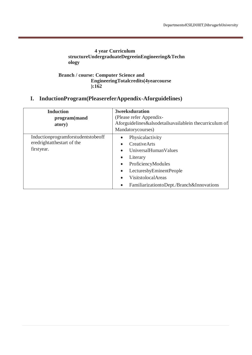### **4 year Curriculum structureUndergraduateDegreeinEngineering&Techn ology**

#### **Branch / course: Computer Science and EngineeringTotalcredits(4yearcourse ):162**

# **I. InductionProgram(PleasereferAppendix-Aforguidelines)**

| <b>Induction</b><br>program(mand<br>atory)                                     | <b>3weeksduration</b><br>(Please refer Appendix-<br>Aforguidelines&alsodetailsavailablein thecurriculum of<br>Mandatorycourses)                                                                                                                                                                    |
|--------------------------------------------------------------------------------|----------------------------------------------------------------------------------------------------------------------------------------------------------------------------------------------------------------------------------------------------------------------------------------------------|
| Inductionprogramforstudentstobeoff<br>eredrightatthestart of the<br>firstyear. | Physicalactivity<br>$\bullet$<br><b>Creative Arts</b><br>$\bullet$<br>UniversalHumanValues<br>Literary<br>$\bullet$<br>ProficiencyModules<br>$\bullet$<br>LecturesbyEminentPeople<br>$\bullet$<br><b>VisitstolocalAreas</b><br>$\bullet$<br>FamiliarizationtoDept./Branch&Innovations<br>$\bullet$ |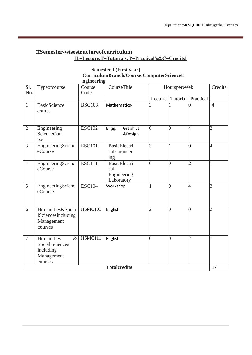## **IISemester-wisestructureofcurriculum [L=Lecture,T=Tutorials, P=Practical's&C=Credits]**

#### **Semester I (First year] CurriculumBranch/Course:ComputerScienceE ngineering**

| $\overline{SI}$ .<br>No. | Typeofcourse                                                                       | Course<br>Code | CourseTitle                                             |                | Hoursperweek    |                | Credits        |
|--------------------------|------------------------------------------------------------------------------------|----------------|---------------------------------------------------------|----------------|-----------------|----------------|----------------|
|                          |                                                                                    |                |                                                         | Lecture        | Tutorial        | Practical      |                |
| $\mathbf{1}$             | <b>BasicScience</b><br>course                                                      | <b>BSC103</b>  | Mathematics-I                                           | 3              | 1               |                | $\overline{4}$ |
| $\overline{2}$           | Engineering<br><b>ScienceCou</b><br>rse                                            | <b>ESC102</b>  | Graphics<br>Engg.<br>&Design                            | $\overline{0}$ | $\overline{0}$  | 4              | $\overline{2}$ |
| 3                        | EngineeringScienc<br>eCourse                                                       | <b>ESC101</b>  | <b>BasicElectri</b><br>calEngineer<br>ing               | 3              | 1               | O              | $\overline{4}$ |
| $\overline{4}$           | EngineeringScienc<br>eCourse                                                       | <b>ESC111</b>  | <b>BasicElectri</b><br>cal<br>Engineering<br>Laboratory | $\overline{0}$ | $\overline{0}$  | $\overline{2}$ | 1              |
| 5                        | EngineeringScienc<br>eCourse                                                       | <b>ESC104</b>  | Workshop                                                |                | $\overline{0}$  | 4              | 3              |
| 6                        | Humanities&Socia<br><b>ISciencesincluding</b><br>Management<br>courses             | HSMC101        | English                                                 | $\overline{2}$ | $\overline{0}$  | 0              | $\overline{2}$ |
| $\overline{7}$           | Humanities<br>$\&$<br><b>Social Sciences</b><br>including<br>Management<br>courses | HSMC111        | English                                                 | $\overline{0}$ | $\vert 0 \vert$ | $\overline{2}$ | 1              |
|                          |                                                                                    |                | <b>Totalcredits</b>                                     |                |                 |                | 17             |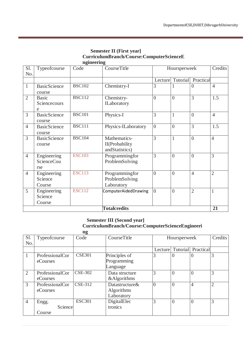| ngineering     |                                   |               |                                                  |                |                |                |                |  |  |  |  |
|----------------|-----------------------------------|---------------|--------------------------------------------------|----------------|----------------|----------------|----------------|--|--|--|--|
| Sl.<br>No.     | Typeofcourse                      | Code          | CourseTitle                                      |                | Hoursperweek   |                | Credits        |  |  |  |  |
|                |                                   |               |                                                  | Lecture        | Tutorial       | Practical      |                |  |  |  |  |
| $\mathbf{1}$   | <b>BasicScience</b><br>course     | <b>BSC102</b> | Chemistry-I                                      | 3              | 1              | $\overline{0}$ | $\overline{4}$ |  |  |  |  |
| $\overline{2}$ | <b>Basic</b><br>Sciencecours<br>e | <b>BSC112</b> | Chemistry-<br>ILaboratory                        | $\overline{0}$ | $\theta$       | 3              | 1.5            |  |  |  |  |
| $\overline{3}$ | <b>BasicScience</b><br>course     | <b>BSC101</b> | Physics-I                                        | 3              | $\mathbf{1}$   | $\theta$       | $\overline{4}$ |  |  |  |  |
| $\overline{4}$ | <b>BasicScience</b><br>course     | <b>BSC111</b> | Physics-ILaboratory                              | $\overline{0}$ | $\overline{0}$ | 3              | 1.5            |  |  |  |  |
| 3              | <b>BasicScience</b><br>course     | <b>BSC104</b> | Mathematics-<br>II(Probability<br>andStatistics) | 3              | 1              | $\overline{0}$ | $\overline{4}$ |  |  |  |  |
| $\overline{4}$ | Engineering<br>ScienceCou<br>rse  | <b>ESC103</b> | Programmingfor<br>ProblemSolving                 | 3              | $\theta$       | $\overline{0}$ | 3              |  |  |  |  |
| $\overline{4}$ | Engineering<br>Science<br>Course  | <b>ESC113</b> | Programmingfor<br>ProblemSolving<br>Laboratory   | $\theta$       | $\theta$       | $\overline{4}$ | $\overline{2}$ |  |  |  |  |
| 5              | Engineering<br>Science<br>Course  | <b>ESC112</b> | ComputerAidedDrawing                             | $\theta$       | $\theta$       | $\overline{2}$ | $\mathbf{1}$   |  |  |  |  |
|                |                                   |               | <b>Totalcredits</b>                              |                |                |                | 21             |  |  |  |  |

## **Semester II (First year] CurriculumBranch/Course:ComputerScienceE**

#### **Semester III (Second year] CurriculumBranch/Course:ComputerScienceEngineeri ng**

|                |                 | цg             |                |                |                |                    |                |
|----------------|-----------------|----------------|----------------|----------------|----------------|--------------------|----------------|
| Sl.            | Typeofcourse    | Code           | CourseTitle    |                | Hoursperweek   |                    | Credits        |
| No.            |                 |                |                |                |                |                    |                |
|                |                 |                |                | Lecture        |                | Tutorial Practical |                |
| 1              | ProfessionalCor | <b>CSE301</b>  | Principles of  | 3              | $\overline{0}$ | $\theta$           | 3              |
|                | eCourses        |                | Programming    |                |                |                    |                |
|                |                 |                | Language       |                |                |                    |                |
| 2              | ProfessionalCor | <b>CSE-302</b> | Data structure | 3              | $\overline{0}$ | $\Omega$           | 3              |
|                | eCourses        |                | &Algorithms    |                |                |                    |                |
| 3              | ProfessionalCor | <b>CSE-312</b> | Datastructure& | $\overline{0}$ | $\overline{0}$ | $\overline{4}$     | $\overline{2}$ |
|                | eCourses        |                | Algorithms     |                |                |                    |                |
|                |                 |                | Laboratory     |                |                |                    |                |
| $\overline{4}$ | Engg.           | <b>ESC301</b>  | DigitalElec    | 3              | $\theta$       | $\Omega$           | 3              |
|                | Science         |                | tronics        |                |                |                    |                |
|                | Course          |                |                |                |                |                    |                |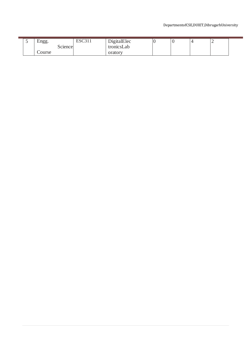### DepartmentofCSE,DUIET,DibrugarhUniversity

| ັ | Engg.   | <b>ESC311</b> | DigitalElec |  | - |  |
|---|---------|---------------|-------------|--|---|--|
|   | Science |               | tronicsLab  |  |   |  |
|   | Course  |               | oratory     |  |   |  |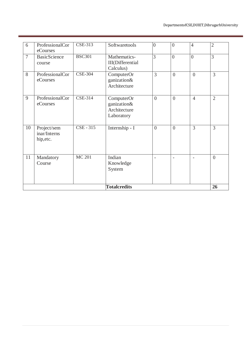|                | <b>Totalcredits</b><br>26                |                |                                                         |                |                |                          |                |  |  |
|----------------|------------------------------------------|----------------|---------------------------------------------------------|----------------|----------------|--------------------------|----------------|--|--|
| 11             | Mandatory<br>Course                      | <b>MC 201</b>  | Indian<br>Knowledge<br>System                           |                | $\overline{a}$ | $\overline{\phantom{a}}$ | $\theta$       |  |  |
| 10             | Project/sem<br>inar/Interns<br>hip, etc. | CSE - 315      | Internship - I                                          | $\overline{0}$ | $\overline{0}$ | 3                        | 3              |  |  |
| 9              | ProfessionalCor<br>eCourses              | <b>CSE-314</b> | ComputerOr<br>ganization&<br>Architecture<br>Laboratory | $\overline{0}$ | $\overline{0}$ | $\overline{4}$           | $\overline{2}$ |  |  |
| 8              | ProfessionalCor<br>eCourses              | <b>CSE-304</b> | ComputerOr<br>ganization&<br>Architecture               | 3              | $\theta$       | $\overline{0}$           | 3              |  |  |
| $\overline{7}$ | <b>BasicScience</b><br>course            | <b>BSC301</b>  | Mathematics-<br><b>III</b> (Differential<br>Calculus)   | $\overline{3}$ | $\overline{0}$ | $\overline{0}$           | $\overline{3}$ |  |  |
| 6              | ProfessionalCor<br>eCourses              | <b>CSE-313</b> | Softwaretools                                           | $\overline{0}$ | $\theta$       | $\overline{4}$           | $\overline{2}$ |  |  |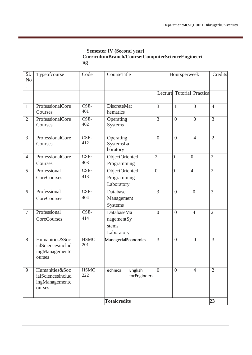#### **Semester IV (Second year] CurriculumBranch/Course:ComputerScienceEngineeri ng**

| Sl.<br>N <sub>o</sub> | Typeofcourse                                                    | Code               | CourseTitle                                     |                | Hoursperweek   |                                | Credits        |
|-----------------------|-----------------------------------------------------------------|--------------------|-------------------------------------------------|----------------|----------------|--------------------------------|----------------|
|                       |                                                                 |                    |                                                 |                |                | Lecture Tutorial Practica<br>1 |                |
| $\mathbf{1}$          | ProfessionalCore<br>Courses                                     | CSE-<br>401        | <b>DiscreteMat</b><br>hematics                  | 3              | $\mathbf{1}$   | $\overline{0}$                 | $\overline{4}$ |
| $\overline{2}$        | ProfessionalCore<br>Courses                                     | CSE-<br>402        | Operating<br>Systems                            | 3              | $\overline{0}$ | $\overline{0}$                 | $\overline{3}$ |
| $\overline{3}$        | ProfessionalCore<br>Courses                                     | CSE-<br>412        | Operating<br>SystemsLa<br>boratory              | $\overline{0}$ | $\overline{0}$ | $\overline{4}$                 | $\overline{2}$ |
| $\overline{4}$        | ProfessionalCore<br>Courses                                     | CSE-<br>403        | ObjectOriented<br>Programming                   | $\overline{2}$ | $\overline{0}$ | 0                              | $\overline{2}$ |
| 5                     | Professional<br>CoreCourses                                     | CSE-<br>413        | ObjectOriented<br>Programming<br>Laboratory     | 0              | $\overline{0}$ | 4                              | $\mathfrak{2}$ |
| 6                     | Professional<br>CoreCourses                                     | CSE-<br>404        | Database<br>Management<br>Systems               | $\overline{3}$ | $\overline{0}$ | $\overline{0}$                 | 3              |
| $7\phantom{.0}$       | Professional<br>CoreCourses                                     | CSE-<br>414        | DatabaseMa<br>nagementSy<br>stems<br>Laboratory | $\overline{0}$ | $\overline{0}$ | $\overline{4}$                 | $\overline{2}$ |
| 8                     | Humanities&Soc<br>ialSciencesinclud<br>ingManagementc<br>ourses | <b>HSMC</b><br>201 | ManagerialEconomics                             | 3              | $\overline{0}$ | $\overline{0}$                 | $\overline{3}$ |
| 9                     | Humanities&Soc<br>ialSciencesinclud<br>ingManagementc<br>ourses | <b>HSMC</b><br>222 | English<br>Technical<br>forEngineers            | $\overline{0}$ | $\overline{0}$ | $\overline{4}$                 | $\overline{2}$ |
|                       |                                                                 |                    | <b>Totalcredits</b>                             |                |                |                                | 23             |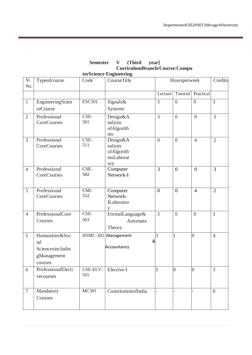|                |                                                                     |                 | $\sim$ urriculum $\bm{\nu}$ runcil $\sim$ our $\sim$ compu<br>terScience Engineering |                |                  |                |                |
|----------------|---------------------------------------------------------------------|-----------------|--------------------------------------------------------------------------------------|----------------|------------------|----------------|----------------|
| Sl.<br>No.     | Typeofcourse                                                        | Code            | CourseTitle                                                                          |                | Hoursperweek     |                | Credits        |
|                |                                                                     |                 |                                                                                      | Lecture        | Tutorial         | Practical      |                |
| $\mathbf{1}$   | EngineeringScien<br>ceCourse                                        | <b>ESC501</b>   | Signals&<br>Systems                                                                  | 3              | $\theta$         | $\overline{0}$ | $\overline{3}$ |
| $\overline{2}$ | Professional<br>CoreCourses                                         | CSE-<br>501     | Design&A<br>nalysis<br>ofAlgorith<br>ms                                              | 3              | $\overline{0}$   | $\overline{0}$ | $\overline{3}$ |
| 3              | Professional<br>CoreCourses                                         | CSE-<br>511     | Design&A<br>nalysis<br>ofAlgorith<br>msLaborat<br>ory                                | $\overline{0}$ | $\overline{0}$   | $\overline{4}$ | $\overline{2}$ |
| $\overline{4}$ | Professional<br>CoreCourses                                         | CSE-<br>502     | Computer<br>Network-I                                                                | 3              | $\boldsymbol{0}$ | $\mathbf{0}$   | $\overline{3}$ |
| 5              | Professional<br>CoreCourses                                         | CSE-<br>512     | Computer<br>Network-<br>ILaborator                                                   | $\overline{0}$ | $\overline{0}$   | $\overline{4}$ | $\overline{2}$ |
| $\overline{4}$ | ProfessionalCore<br>Courses                                         | CSE-<br>503     | FormalLanguage&<br>Automata<br>Theory                                                | 3              | $\theta$         | $\theta$       | 3              |
| 5              | Humanities&Soc<br>ial<br>Sciencesincludin<br>gManagement<br>courses | <b>HSMC-302</b> | Management<br>Accountancy                                                            | 3<br>&         | $\mathbf{1}$     | $\overline{0}$ | $\overline{4}$ |
| 6              | ProfessionalElecti<br>vecourses                                     | CSE-ELV-<br>501 | Elective-I                                                                           | 3              | $\overline{0}$   | $\overline{0}$ | $\overline{3}$ |
| $\overline{7}$ | Mandatory<br>Courses                                                | MC301           | ConstitutionofIndia                                                                  |                |                  |                | $\overline{0}$ |

# **Semester V (Third year] CurriculumBranch/Course:Compu**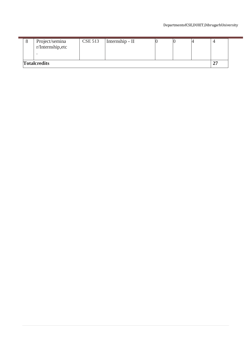| <b>Totalcredits</b>                 |                |                 |  |  |
|-------------------------------------|----------------|-----------------|--|--|
| Project/semina<br>r/Internship, etc | <b>CSE 513</b> | Internship - II |  |  |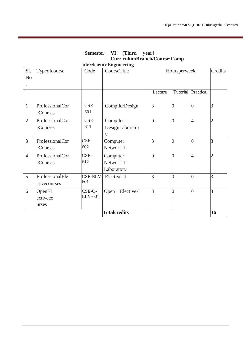|                       |                                 |                          | uterScienceEngineering               |                |                      |                |                |
|-----------------------|---------------------------------|--------------------------|--------------------------------------|----------------|----------------------|----------------|----------------|
| Sl.<br>N <sub>o</sub> | Typeofcourse                    | Code                     | CourseTitle                          |                | Hoursperweek         |                |                |
|                       |                                 |                          |                                      | Lecture        | Tutorial             | Practical      |                |
| $\mathbf{1}$          | ProfessionalCor<br>eCourses     | CSE-<br>601              | CompilerDesign                       | 3              | $\overline{0}$       | $\overline{0}$ | 3              |
| $\overline{2}$        | ProfessionalCor<br>eCourses     | CSE-<br>611              | Compiler<br>DesignLaborator<br>y     | $\overline{0}$ | $\overline{0}$       | $\overline{4}$ | $\overline{2}$ |
| $\overline{3}$        | ProfessionalCor<br>eCourses     | CSE-<br>602              | Computer<br>Network-II               | 3              | $\vert$ <sup>0</sup> | $\overline{0}$ | 3              |
| $\overline{4}$        | ProfessionalCor<br>eCourses     | CSE-<br>612              | Computer<br>Network-II<br>Laboratory | $\overline{0}$ | $\overline{0}$       | $\overline{4}$ | $\overline{2}$ |
| 5                     | ProfessionalEle<br>ctivecourses | CSE-ELV-<br>601          | Elective-II                          | 3              | $\overline{0}$       | $\overline{0}$ | 3              |
| 6                     | OpenEl<br>ectiveco<br>urses     | CSE-O-<br><b>ELV-601</b> | Elective-I<br>Open                   | 3              | $\overline{0}$       | $\overline{0}$ | $\overline{3}$ |
|                       |                                 |                          | <b>Totalcredits</b>                  |                |                      |                | 16             |

**Semester VI (Third year] CurriculumBranch/Course:Comp**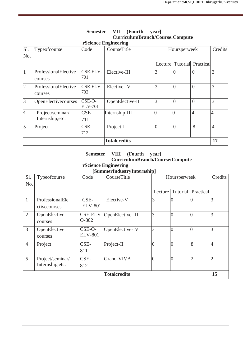| Sl.            | Typeofcourse                         | Code                     | CourseTitle         |                | Hoursperweek   |                |                |
|----------------|--------------------------------------|--------------------------|---------------------|----------------|----------------|----------------|----------------|
| No.            |                                      |                          |                     |                |                |                |                |
|                |                                      |                          |                     | Lecture        | Tutorial       | Practical      |                |
| 1              | ProfessionalElective<br>courses      | <b>CSE-ELV-</b><br>701   | Elective-III        | 3              | $\overline{0}$ | $\theta$       | 3              |
| $\overline{2}$ | ProfessionalElective<br>courses      | <b>CSE-ELV-</b><br>702   | Elective-IV         | 3              | $\overline{0}$ | $\overline{0}$ | 3              |
| $\overline{3}$ | OpenElectivecourses                  | CSE-O-<br><b>ELV-701</b> | OpenElective-II     | 3              | $\overline{0}$ | $\theta$       | 3              |
| $\overline{4}$ | Project/seminar/<br>Internship, etc. | $CSE-$<br>711            | Internship-III      | $\overline{0}$ | $\overline{0}$ | $\overline{4}$ | $\overline{4}$ |
| $\overline{5}$ | Project                              | CSE-<br>712              | Project-I           | $\overline{0}$ | $\overline{0}$ | 8              | $\overline{4}$ |
|                |                                      |                          | <b>Totalcredits</b> |                |                |                | 17             |

#### **Semester VII (Fourth year] CurriculumBranch/Course:Compute rScience Engineering**

#### **Semester VIII (Fourth year] CurriculumBranch/Course:Compute rScience Engineering**

## **[SummerIndustryInternship]**

| Sl.<br>No.          | Typeofcourse                         | Code                     | CourseTitle               | . .<br>Hoursperweek |                |                | Credits        |
|---------------------|--------------------------------------|--------------------------|---------------------------|---------------------|----------------|----------------|----------------|
|                     |                                      |                          |                           | Lecture             | Tutorial       | Practical      |                |
| $\mathbf{1}$        | ProfessionalEle<br>ctivecourses      | $CSE-$<br><b>ELV-801</b> | Elective-V                | 3                   | $\overline{0}$ | 0              | 3              |
| $\overline{2}$      | OpenElective<br>courses              | O-802                    | CSE-ELV- OpenElective-III | 3                   | $\overline{0}$ | $\Omega$       | 3              |
| $\overline{3}$      | OpenElective<br>courses              | CSE-O-<br><b>ELV-801</b> | OpenElective-IV           | 3                   | $\overline{0}$ | $\Omega$       | 3              |
| $\overline{4}$      | Project                              | CSE-<br>811              | Project-II                | $\theta$            | $\overline{0}$ | 8              | $\overline{4}$ |
| 5                   | Project/seminar/<br>Internship, etc. | CSE-<br>812              | Grand-VIVA                | $\theta$            | $\overline{0}$ | $\overline{2}$ | $\overline{2}$ |
| <b>Totalcredits</b> |                                      |                          |                           |                     |                |                | 15             |